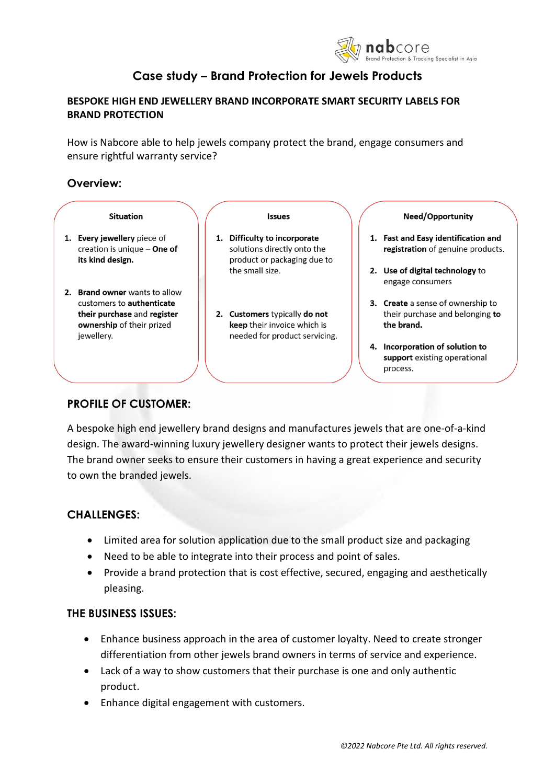

# **Case study – Brand Protection for Jewels Products**

# **BESPOKE HIGH END JEWELLERY BRAND INCORPORATE SMART SECURITY LABELS FOR BRAND PROTECTION**

How is Nabcore able to help jewels company protect the brand, engage consumers and ensure rightful warranty service?

## **Overview:**



# **PROFILE OF CUSTOMER:**

A bespoke high end jewellery brand designs and manufactures jewels that are one-of-a-kind design. The award-winning luxury jewellery designer wants to protect their jewels designs. The brand owner seeks to ensure their customers in having a great experience and security to own the branded jewels.

# **CHALLENGES:**

- Limited area for solution application due to the small product size and packaging
- Need to be able to integrate into their process and point of sales.
- Provide a brand protection that is cost effective, secured, engaging and aesthetically pleasing.

# **THE BUSINESS ISSUES:**

- Enhance business approach in the area of customer loyalty. Need to create stronger differentiation from other jewels brand owners in terms of service and experience.
- Lack of a way to show customers that their purchase is one and only authentic product.
- Enhance digital engagement with customers.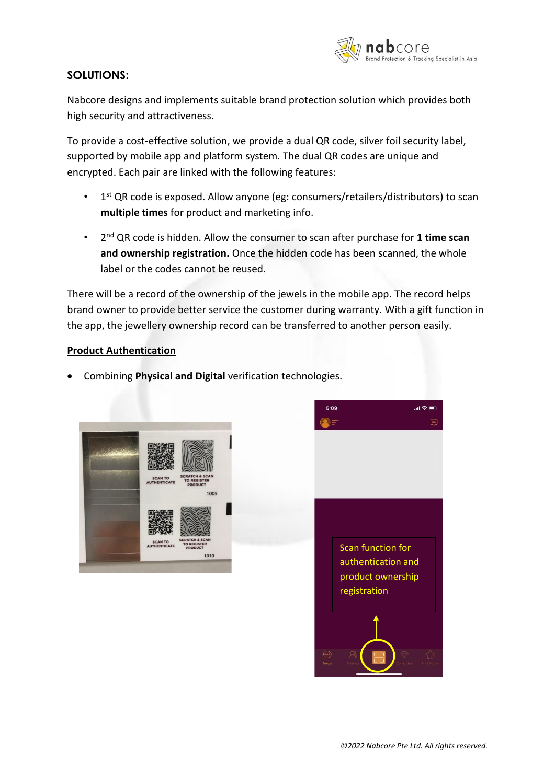

# **SOLUTIONS:**

Nabcore designs and implements suitable brand protection solution which provides both high security and attractiveness.

To provide a cost-effective solution, we provide a dual QR code, silver foil security label, supported by mobile app and platform system. The dual QR codes are unique and encrypted. Each pair are linked with the following features:

- 1 1<sup>st</sup> QR code is exposed. Allow anyone (eg: consumers/retailers/distributors) to scan **multiple times** for product and marketing info.
- 2 nd QR code is hidden. Allow the consumer to scan after purchase for **1 time scan and ownership registration.** Once the hidden code has been scanned, the whole label or the codes cannot be reused.

There will be a record of the ownership of the jewels in the mobile app. The record helps brand owner to provide better service the customer during warranty. With a gift function in the app, the jewellery ownership record can be transferred to another person easily.

## **Product Authentication**

• Combining **Physical and Digital** verification technologies.